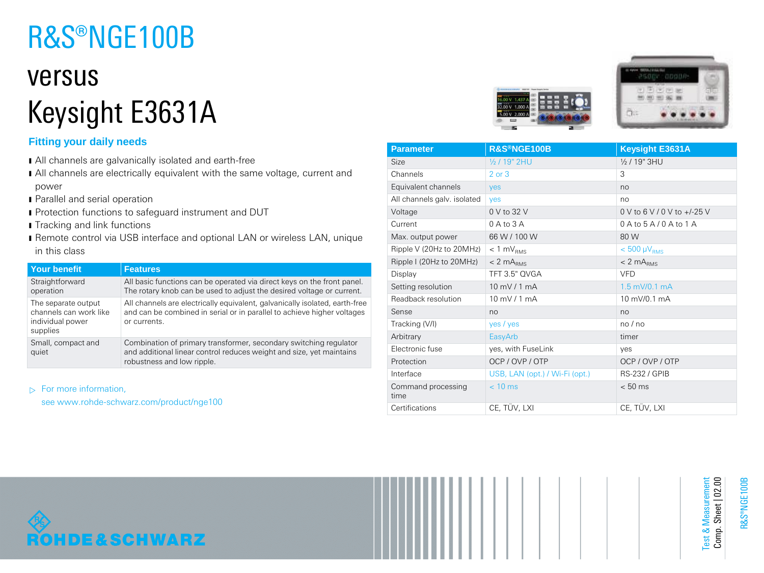# R&S®NGE100B

## versus Keysight E3631A

## **Fitting your daily needs**

- ı All channels are galvanically isolated and earth-free
- I All channels are electrically equivalent with the same voltage, current and power
- **I** Parallel and serial operation
- **I** Protection functions to safeguard instrument and DUT
- **I** Tracking and link functions
- ı Remote control via USB interface and optional LAN or wireless LAN, unique in this class

| <b>Your benefit</b>                                                           | <b>Features</b>                                                                                                                                                         |
|-------------------------------------------------------------------------------|-------------------------------------------------------------------------------------------------------------------------------------------------------------------------|
| Straightforward<br>operation                                                  | All basic functions can be operated via direct keys on the front panel.<br>The rotary knob can be used to adjust the desired voltage or current.                        |
| The separate output<br>channels can work like<br>individual power<br>supplies | All channels are electrically equivalent, galvanically isolated, earth-free<br>and can be combined in serial or in parallel to achieve higher voltages<br>or currents.  |
| Small, compact and<br>quiet                                                   | Combination of primary transformer, secondary switching regulator<br>and additional linear control reduces weight and size, yet maintains<br>robustness and low ripple. |

 $\triangleright$  For more information,

see www.rohde-schwarz.com/product/nge100





| <b>Parameter</b>            | <b>R&amp;S®NGE100B</b>         | <b>Keysight E3631A</b>           |
|-----------------------------|--------------------------------|----------------------------------|
| Size                        | 1/2 / 19" 2HU                  | $\frac{1}{2}$ / 19" 3HU          |
| Channels                    | $2$ or $3$                     | 3                                |
| Equivalent channels         | <b>ves</b>                     | no                               |
| All channels galv. isolated | yes                            | no                               |
| Voltage                     | 0 V to 32 V                    | $0 \vee$ to 6 V / 0 V to +/-25 V |
| Current                     | $0$ A to $3$ A                 | $0A$ to $5A/0A$ to $1A$          |
| Max. output power           | 66 W / 100 W                   | 80 W                             |
| Ripple V (20Hz to 20MHz)    | $< 1$ mV <sub>RMS</sub>        | $< 500 \mu V_{RMS}$              |
| Ripple I (20Hz to 20MHz)    | $< 2$ m $ARMS$                 | $< 2$ m $A_{BMS}$                |
| Display                     | TFT 3.5" OVGA                  | <b>VFD</b>                       |
| Setting resolution          | $10 \text{ mV}$ / 1 mA         | $1.5$ mV/0.1 mA                  |
| Readback resolution         | $10 \text{ mV}$ / 1 mA         | 10 mV/0.1 mA                     |
| Sense                       | no                             | no                               |
| Tracking (V/I)              | yes / yes                      | no/no                            |
| Arbitrary                   | EasyArb                        | timer                            |
| Electronic fuse             | yes, with FuseLink             | ves                              |
| Protection                  | OCP / OVP / OTP                | OCP / OVP / OTP                  |
| Interface                   | USB, LAN (opt.) / Wi-Fi (opt.) | <b>RS-232 / GPIB</b>             |
| Command processing<br>time  | $< 10$ ms                      | $< 50$ ms                        |
| Certifications              | CE, TÜV, LXI                   | CE, TÜV, LXI                     |



Test & Measurement Comp. Sheet | 02.00

Test & Measurement<br>Comp. Sheet | 02.00